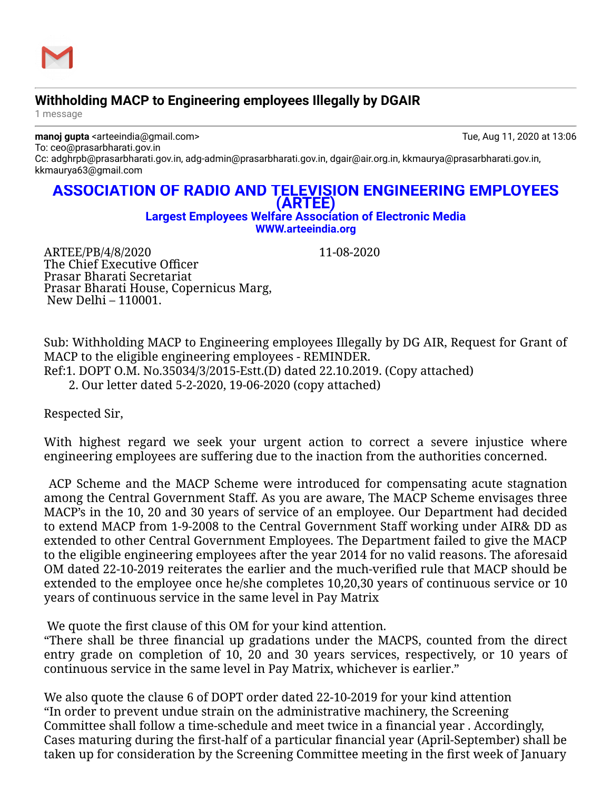

## **Withholding MACP to Engineering employees Illegally by DGAIR**

1 message

**manoj gupta** <arteeindia@gmail.com> Tue, Aug 11, 2020 at 13:06 To: ceo@prasarbharati.gov.in

Cc: adghrpb@prasarbharati.gov.in, adg-admin@prasarbharati.gov.in, dgair@air.org.in, kkmaurya@prasarbharati.gov.in, kkmaurya63@gmail.com

## **ASSOCIATION OF RADIO AND TELEVISION ENGINEERING EMPLOYEES (ARTEE)**

## **Largest Employees Welfare Association of Electronic Media [WWW.arteeindia.org](http://www.arteeindia.org/)**

ARTEE/PB/4/8/2020 11-08-2020 The Chief Executive Officer Prasar Bharati Secretariat Prasar Bharati House, Copernicus Marg, New Delhi – 110001.

Sub: Withholding MACP to Engineering employees Illegally by DG AIR, Request for Grant of MACP to the eligible engineering employees - REMINDER. Ref:1. DOPT O.M. No.35034/3/2015-Estt.(D) dated 22.10.2019. (Copy attached) 2. Our letter dated 5-2-2020, 19-06-2020 (copy attached)

Respected Sir,

With highest regard we seek your urgent action to correct a severe injustice where engineering employees are suffering due to the inaction from the authorities concerned.

ACP Scheme and the MACP Scheme were introduced for compensating acute stagnation among the Central Government Staff. As you are aware, The MACP Scheme envisages three MACP's in the 10, 20 and 30 years of service of an employee. Our Department had decided to extend MACP from 1-9-2008 to the Central Government Staff working under AIR& DD as extended to other Central Government Employees. The Department failed to give the MACP to the eligible engineering employees after the year 2014 for no valid reasons. The aforesaid OM dated 22-10-2019 reiterates the earlier and the much-verified rule that MACP should be extended to the employee once he/she completes 10,20,30 years of continuous service or 10 years of continuous service in the same level in Pay Matrix

We quote the first clause of this OM for your kind attention.

"There shall be three financial up gradations under the MACPS, counted from the direct entry grade on completion of 10, 20 and 30 years services, respectively, or 10 years of continuous service in the same level in Pay Matrix, whichever is earlier."

We also quote the clause 6 of DOPT order dated 22-10-2019 for your kind attention "In order to prevent undue strain on the administrative machinery, the Screening Committee shall follow a time-schedule and meet twice in a financial year . Accordingly, Cases maturing during the first-half of a particular financial year (April-September) shall be taken up for consideration by the Screening Committee meeting in the first week of January